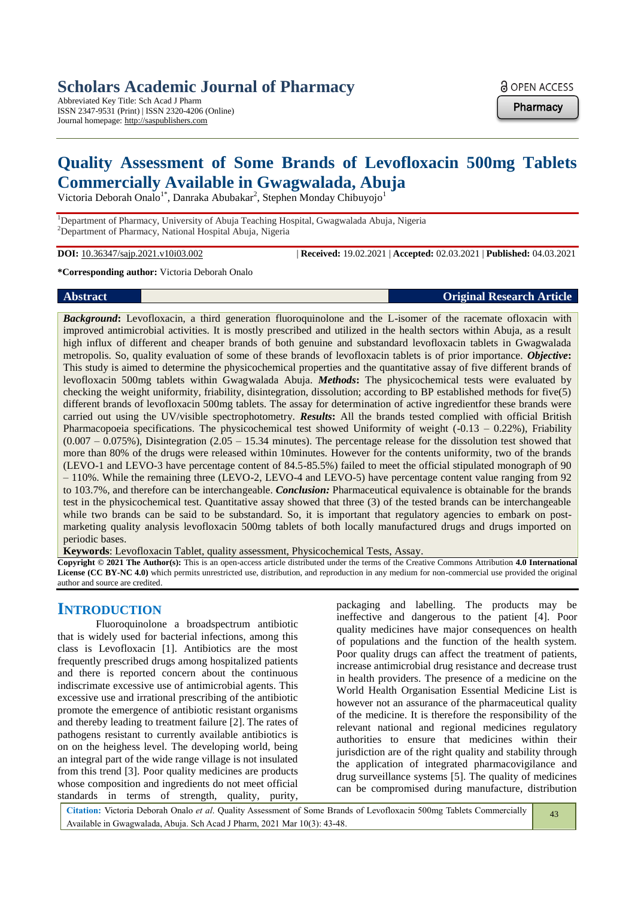## **Scholars Academic Journal of Pharmacy**

Abbreviated Key Title: Sch Acad J Pharm ISSN 2347-9531 (Print) | ISSN 2320-4206 (Online) Journal homepage: http://saspublishers.com

**a** OPEN ACCESS

**Pharmacy** 

# **Quality Assessment of Some Brands of Levofloxacin 500mg Tablets Commercially Available in Gwagwalada, Abuja**

Victoria Deborah Onalo<sup>1\*</sup>, Danraka Abubakar<sup>2</sup>, Stephen Monday Chibuyojo<sup>1</sup>

<sup>1</sup>Department of Pharmacy, University of Abuja Teaching Hospital, Gwagwalada Abuja, Nigeria <sup>2</sup>Department of Pharmacy, National Hospital Abuja, Nigeria

**DOI:** 10.36347/sajp.2021.v10i03.002 | **Received:** 19.02.2021 | **Accepted:** 02.03.2021 | **Published:** 04.03.2021

#### **\*Corresponding author:** Victoria Deborah Onalo

#### **Abstract Original Research Article**

*Background***:** Levofloxacin, a third generation fluoroquinolone and the L-isomer of the racemate ofloxacin with improved antimicrobial activities. It is mostly prescribed and utilized in the health sectors within Abuja, as a result high influx of different and cheaper brands of both genuine and substandard levofloxacin tablets in Gwagwalada metropolis. So, quality evaluation of some of these brands of levofloxacin tablets is of prior importance. *Objective***:**  This study is aimed to determine the physicochemical properties and the quantitative assay of five different brands of levofloxacin 500mg tablets within Gwagwalada Abuja. *Methods***:** The physicochemical tests were evaluated by checking the weight uniformity, friability, disintegration, dissolution; according to BP established methods for five(5) different brands of levofloxacin 500mg tablets. The assay for determination of active ingredientfor these brands were carried out using the UV/visible spectrophotometry. *Results***:** All the brands tested complied with official British Pharmacopoeia specifications. The physicochemical test showed Uniformity of weight (-0.13 – 0.22%), Friability  $(0.007 - 0.075%)$ , Disintegration  $(2.05 - 15.34$  minutes). The percentage release for the dissolution test showed that more than 80% of the drugs were released within 10minutes. However for the contents uniformity, two of the brands (LEVO-1 and LEVO-3 have percentage content of 84.5-85.5%) failed to meet the official stipulated monograph of 90 – 110%. While the remaining three (LEVO-2, LEVO-4 and LEVO-5) have percentage content value ranging from 92 to 103.7%, and therefore can be interchangeable. *Conclusion:* Pharmaceutical equivalence is obtainable for the brands test in the physicochemical test. Quantitative assay showed that three (3) of the tested brands can be interchangeable while two brands can be said to be substandard. So, it is important that regulatory agencies to embark on postmarketing quality analysis levofloxacin 500mg tablets of both locally manufactured drugs and drugs imported on periodic bases.

**Keywords**: Levofloxacin Tablet, quality assessment, Physicochemical Tests, Assay.

**Copyright © 2021 The Author(s):** This is an open-access article distributed under the terms of the Creative Commons Attribution **4.0 International License (CC BY-NC 4.0)** which permits unrestricted use, distribution, and reproduction in any medium for non-commercial use provided the original author and source are credited.

## **INTRODUCTION**

Fluoroquinolone a broadspectrum antibiotic that is widely used for bacterial infections, among this class is Levofloxacin [1]. Antibiotics are the most frequently prescribed drugs among hospitalized patients and there is reported concern about the continuous indiscrimate excessive use of antimicrobial agents. This excessive use and irrational prescribing of the antibiotic promote the emergence of antibiotic resistant organisms and thereby leading to treatment failure [2]. The rates of pathogens resistant to currently available antibiotics is on on the heighess level. The developing world, being an integral part of the wide range village is not insulated from this trend [3]. Poor quality medicines are products whose composition and ingredients do not meet official standards in terms of strength, quality, purity,

packaging and labelling. The products may be ineffective and dangerous to the patient [4]. Poor quality medicines have major consequences on health of populations and the function of the health system. Poor quality drugs can affect the treatment of patients, increase antimicrobial drug resistance and decrease trust in health providers. The presence of a medicine on the World Health Organisation Essential Medicine List is however not an assurance of the pharmaceutical quality of the medicine. It is therefore the responsibility of the relevant national and regional medicines regulatory authorities to ensure that medicines within their jurisdiction are of the right quality and stability through the application of integrated pharmacovigilance and drug surveillance systems [5]. The quality of medicines can be compromised during manufacture, distribution

**Citation:** Victoria Deborah Onalo *et al*. Quality Assessment of Some Brands of Levofloxacin 500mg Tablets Commercially Available in Gwagwalada, Abuja. Sch Acad J Pharm, 2021 Mar 10(3): 43-48.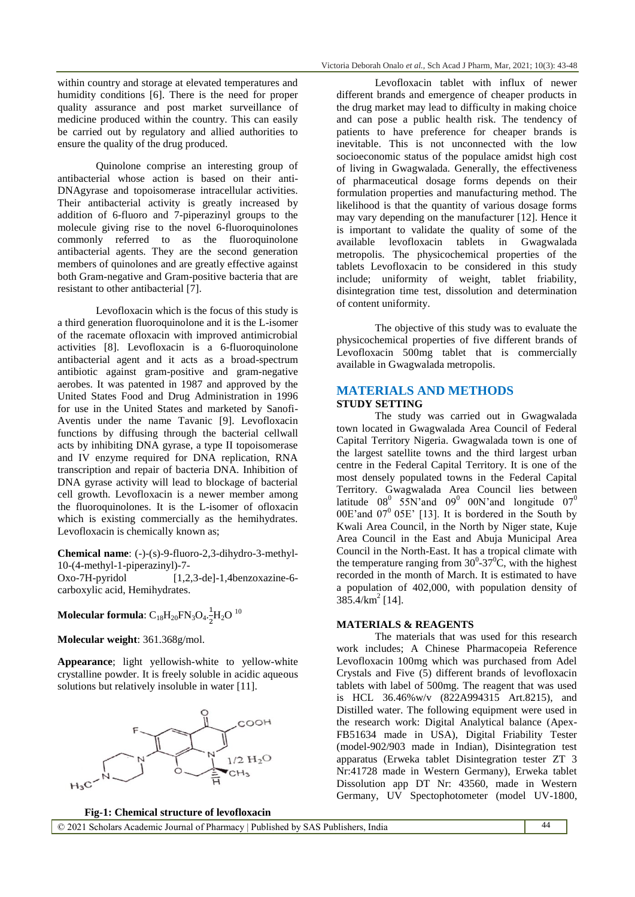within country and storage at elevated temperatures and humidity conditions [6]. There is the need for proper quality assurance and post market surveillance of medicine produced within the country. This can easily be carried out by regulatory and allied authorities to ensure the quality of the drug produced.

Quinolone comprise an interesting group of antibacterial whose action is based on their anti-DNAgyrase and topoisomerase intracellular activities. Their antibacterial activity is greatly increased by addition of 6-fluoro and 7-piperazinyl groups to the molecule giving rise to the novel 6-fluoroquinolones commonly referred to as the fluoroquinolone antibacterial agents. They are the second generation members of quinolones and are greatly effective against both Gram-negative and Gram-positive bacteria that are resistant to other antibacterial [7].

Levofloxacin which is the focus of this study is a third generation fluoroquinolone and it is the L-isomer of the racemate ofloxacin with improved antimicrobial activities [8]. Levofloxacin is a 6-fluoroquinolone antibacterial agent and it acts as a broad-spectrum antibiotic against gram-positive and gram-negative aerobes. It was patented in 1987 and approved by the United States Food and Drug Administration in 1996 for use in the United States and marketed by Sanofi-Aventis under the name Tavanic [9]. Levofloxacin functions by diffusing through the bacterial cellwall acts by inhibiting DNA gyrase, a type II topoisomerase and IV enzyme required for DNA replication, RNA transcription and repair of bacteria DNA. Inhibition of DNA gyrase activity will lead to blockage of bacterial cell growth. Levofloxacin is a newer member among the fluoroquinolones. It is the L-isomer of ofloxacin which is existing commercially as the hemihydrates. Levofloxacin is chemically known as;

**Chemical name**: (-)-(s)-9-fluoro-2,3-dihydro-3-methyl-10-(4-methyl-1-piperazinyl)-7-

Oxo-7H-pyridol [1,2,3-de]-1,4benzoxazine-6 carboxylic acid, Hemihydrates.

**Molecular formula**:  $C_{18}H_{20}FN_3O_4.\frac{1}{2}$  $\frac{1}{2}H_2O^{10}$ 

**Molecular weight**: 361.368g/mol.

**Appearance**; light yellowish-white to yellow-white crystalline powder. It is freely soluble in acidic aqueous solutions but relatively insoluble in water [11].



Levofloxacin tablet with influx of newer different brands and emergence of cheaper products in the drug market may lead to difficulty in making choice and can pose a public health risk. The tendency of patients to have preference for cheaper brands is inevitable. This is not unconnected with the low socioeconomic status of the populace amidst high cost of living in Gwagwalada. Generally, the effectiveness of pharmaceutical dosage forms depends on their formulation properties and manufacturing method. The likelihood is that the quantity of various dosage forms may vary depending on the manufacturer [12]. Hence it is important to validate the quality of some of the available levofloxacin tablets in Gwagwalada metropolis. The physicochemical properties of the tablets Levofloxacin to be considered in this study include; uniformity of weight, tablet friability, disintegration time test, dissolution and determination of content uniformity.

The objective of this study was to evaluate the physicochemical properties of five different brands of Levofloxacin 500mg tablet that is commercially available in Gwagwalada metropolis.

#### **MATERIALS AND METHODS STUDY SETTING**

The study was carried out in Gwagwalada town located in Gwagwalada Area Council of Federal Capital Territory Nigeria. Gwagwalada town is one of the largest satellite towns and the third largest urban centre in the Federal Capital Territory. It is one of the most densely populated towns in the Federal Capital Territory. Gwagwalada Area Council lies between latitude  $08^0$  55N'and  $09^0$  00N'and longitude  $07^0$ 00E'and  $07^0$  05E' [13]. It is bordered in the South by Kwali Area Council, in the North by Niger state, Kuje Area Council in the East and Abuja Municipal Area Council in the North-East. It has a tropical climate with the temperature ranging from  $30^{\circ}$ - $37^{\circ}$ C, with the highest recorded in the month of March. It is estimated to have a population of 402,000, with population density of  $385.4/km^2$  [14].

#### **MATERIALS & REAGENTS**

The materials that was used for this research work includes; A Chinese Pharmacopeia Reference Levofloxacin 100mg which was purchased from Adel Crystals and Five (5) different brands of levofloxacin tablets with label of 500mg. The reagent that was used is HCL 36.46%w/v (822A994315 Art.8215), and Distilled water. The following equipment were used in the research work: Digital Analytical balance (Apex-FB51634 made in USA), Digital Friability Tester (model-902/903 made in Indian), Disintegration test apparatus (Erweka tablet Disintegration tester ZT 3 Nr:41728 made in Western Germany), Erweka tablet Dissolution app DT Nr: 43560, made in Western Germany, UV Spectophotometer (model UV-1800,

44

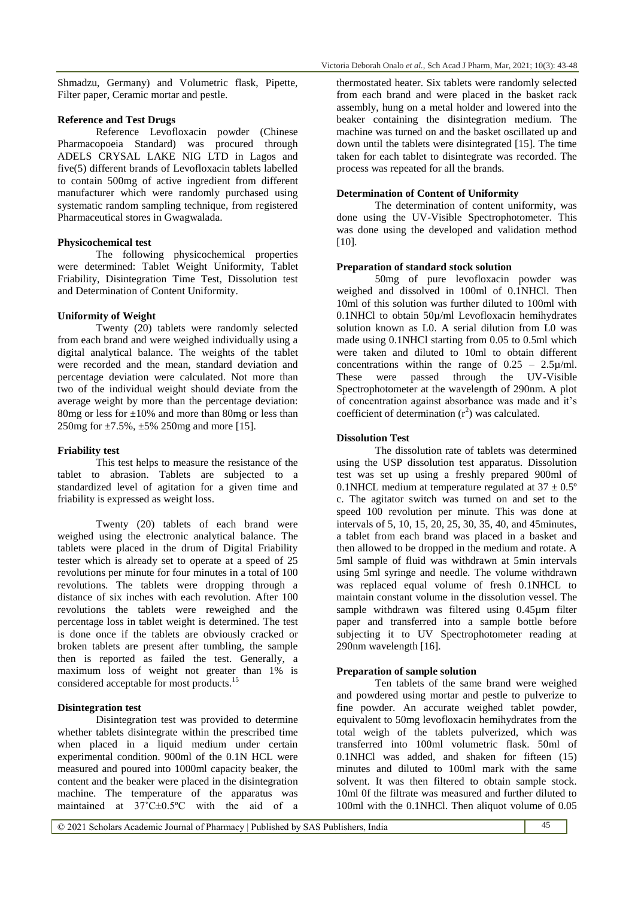Shmadzu, Germany) and Volumetric flask, Pipette, Filter paper, Ceramic mortar and pestle.

#### **Reference and Test Drugs**

Reference Levofloxacin powder (Chinese Pharmacopoeia Standard) was procured through ADELS CRYSAL LAKE NIG LTD in Lagos and five(5) different brands of Levofloxacin tablets labelled to contain 500mg of active ingredient from different manufacturer which were randomly purchased using systematic random sampling technique, from registered Pharmaceutical stores in Gwagwalada.

#### **Physicochemical test**

The following physicochemical properties were determined: Tablet Weight Uniformity, Tablet Friability, Disintegration Time Test, Dissolution test and Determination of Content Uniformity.

#### **Uniformity of Weight**

Twenty (20) tablets were randomly selected from each brand and were weighed individually using a digital analytical balance. The weights of the tablet were recorded and the mean, standard deviation and percentage deviation were calculated. Not more than two of the individual weight should deviate from the average weight by more than the percentage deviation: 80mg or less for  $\pm 10\%$  and more than 80mg or less than 250mg for  $\pm 7.5\%$ ,  $\pm 5\%$  250mg and more [15].

#### **Friability test**

This test helps to measure the resistance of the tablet to abrasion. Tablets are subjected to a standardized level of agitation for a given time and friability is expressed as weight loss.

Twenty (20) tablets of each brand were weighed using the electronic analytical balance. The tablets were placed in the drum of Digital Friability tester which is already set to operate at a speed of 25 revolutions per minute for four minutes in a total of 100 revolutions. The tablets were dropping through a distance of six inches with each revolution. After 100 revolutions the tablets were reweighed and the percentage loss in tablet weight is determined. The test is done once if the tablets are obviously cracked or broken tablets are present after tumbling, the sample then is reported as failed the test. Generally, a maximum loss of weight not greater than 1% is considered acceptable for most products.<sup>15</sup>

#### **Disintegration test**

Disintegration test was provided to determine whether tablets disintegrate within the prescribed time when placed in a liquid medium under certain experimental condition. 900ml of the 0.1N HCL were measured and poured into 1000ml capacity beaker, the content and the beaker were placed in the disintegration machine. The temperature of the apparatus was maintained at  $37^{\circ}$ C $\pm$ 0.5°C with the aid of a

thermostated heater. Six tablets were randomly selected from each brand and were placed in the basket rack assembly, hung on a metal holder and lowered into the beaker containing the disintegration medium. The machine was turned on and the basket oscillated up and down until the tablets were disintegrated [15]. The time taken for each tablet to disintegrate was recorded. The process was repeated for all the brands.

#### **Determination of Content of Uniformity**

The determination of content uniformity, was done using the UV-Visible Spectrophotometer. This was done using the developed and validation method [10].

#### **Preparation of standard stock solution**

50mg of pure levofloxacin powder was weighed and dissolved in 100ml of 0.1NHCl. Then 10ml of this solution was further diluted to 100ml with 0.1NHCl to obtain 50µ/ml Levofloxacin hemihydrates solution known as L0. A serial dilution from L0 was made using 0.1NHCl starting from 0.05 to 0.5ml which were taken and diluted to 10ml to obtain different concentrations within the range of  $0.25 - 2.5\mu$ /ml. These were passed through the UV-Visible Spectrophotometer at the wavelength of 290nm. A plot of concentration against absorbance was made and it's coefficient of determination  $(r^2)$  was calculated.

#### **Dissolution Test**

The dissolution rate of tablets was determined using the USP dissolution test apparatus. Dissolution test was set up using a freshly prepared 900ml of 0.1NHCL medium at temperature regulated at  $37 \pm 0.5^{\circ}$ c. The agitator switch was turned on and set to the speed 100 revolution per minute. This was done at intervals of 5, 10, 15, 20, 25, 30, 35, 40, and 45minutes, a tablet from each brand was placed in a basket and then allowed to be dropped in the medium and rotate. A 5ml sample of fluid was withdrawn at 5min intervals using 5ml syringe and needle. The volume withdrawn was replaced equal volume of fresh 0.1NHCL to maintain constant volume in the dissolution vessel. The sample withdrawn was filtered using 0.45µm filter paper and transferred into a sample bottle before subjecting it to UV Spectrophotometer reading at 290nm wavelength [16].

#### **Preparation of sample solution**

Ten tablets of the same brand were weighed and powdered using mortar and pestle to pulverize to fine powder. An accurate weighed tablet powder, equivalent to 50mg levofloxacin hemihydrates from the total weigh of the tablets pulverized, which was transferred into 100ml volumetric flask. 50ml of 0.1NHCl was added, and shaken for fifteen (15) minutes and diluted to 100ml mark with the same solvent. It was then filtered to obtain sample stock. 10ml 0f the filtrate was measured and further diluted to 100ml with the 0.1NHCl. Then aliquot volume of 0.05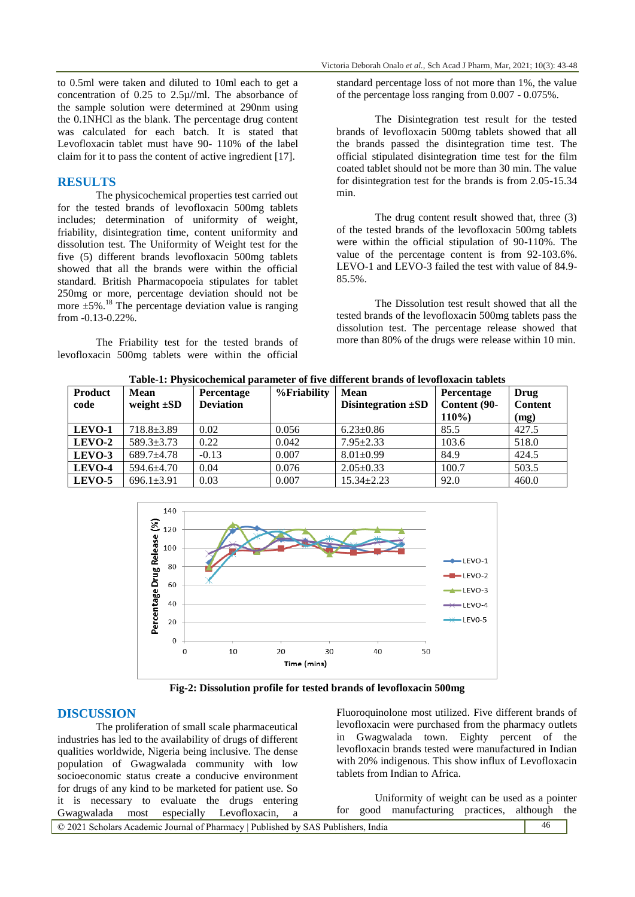to 0.5ml were taken and diluted to 10ml each to get a concentration of 0.25 to 2.5µ//ml. The absorbance of the sample solution were determined at 290nm using the 0.1NHCl as the blank. The percentage drug content was calculated for each batch. It is stated that Levofloxacin tablet must have 90- 110% of the label claim for it to pass the content of active ingredient [17].

### **RESULTS**

The physicochemical properties test carried out for the tested brands of levofloxacin 500mg tablets includes; determination of uniformity of weight, friability, disintegration time, content uniformity and dissolution test. The Uniformity of Weight test for the five (5) different brands levofloxacin 500mg tablets showed that all the brands were within the official standard. British Pharmacopoeia stipulates for tablet 250mg or more, percentage deviation should not be  $250mg$  of more, percentage deviation should not be more  $\pm 5\%$ .<sup>18</sup> The percentage deviation value is ranging from -0.13-0.22%.

The Friability test for the tested brands of levofloxacin 500mg tablets were within the official

standard percentage loss of not more than 1%, the value of the percentage loss ranging from 0.007 - 0.075%.

The Disintegration test result for the tested brands of levofloxacin 500mg tablets showed that all the brands passed the disintegration time test. The official stipulated disintegration time test for the film coated tablet should not be more than 30 min. The value for disintegration test for the brands is from 2.05-15.34 min.

The drug content result showed that, three (3) of the tested brands of the levofloxacin 500mg tablets were within the official stipulation of 90-110%. The value of the percentage content is from 92-103.6%. LEVO-1 and LEVO-3 failed the test with value of 84.9-  $85.5\%$ .

The Dissolution test result showed that all the tested brands of the levofloxacin 500mg tablets pass the dissolution test. The percentage release showed that more than 80% of the drugs were release within 10 min.

**Table-1: Physicochemical parameter of five different brands of levofloxacin tablets**

| Product | <b>Mean</b>      | Percentage       | %Friability | <b>Mean</b>             | Percentage   | Drug           |
|---------|------------------|------------------|-------------|-------------------------|--------------|----------------|
| code    | weight $\pm SD$  | <b>Deviation</b> |             | Disintegration $\pm SD$ | Content (90- | <b>Content</b> |
|         |                  |                  |             |                         | $110\%$      | (mg)           |
| LEVO-1  | $718.8 \pm 3.89$ | 0.02             | 0.056       | $6.23 \pm 0.86$         | 85.5         | 427.5          |
| LEVO-2  | $589.3 \pm 3.73$ | 0.22             | 0.042       | $7.95 + 2.33$           | 103.6        | 518.0          |
| LEVO-3  | $689.7 + 4.78$   | $-0.13$          | 0.007       | $8.01 \pm 0.99$         | 84.9         | 424.5          |
| LEVO-4  | 594.6±4.70       | 0.04             | 0.076       | $2.05 \pm 0.33$         | 100.7        | 503.5          |
| LEVO-5  | $696.1 \pm 3.91$ | 0.03             | 0.007       | $15.34 \pm 2.23$        | 92.0         | 460.0          |



**Fig-2: Dissolution profile for tested brands of levofloxacin 500mg**

#### **DISCUSSION**

The proliferation of small scale pharmaceutical industries has led to the availability of drugs of different qualities worldwide, Nigeria being inclusive. The dense population of Gwagwalada community with low socioeconomic status create a conducive environment for drugs of any kind to be marketed for patient use. So it is necessary to evaluate the drugs entering Gwagwalada most especially Levofloxacin, a

Fluoroquinolone most utilized. Five different brands of levofloxacin were purchased from the pharmacy outlets in Gwagwalada town. Eighty percent of the levofloxacin brands tested were manufactured in Indian with 20% indigenous. This show influx of Levofloxacin tablets from Indian to Africa.

Uniformity of weight can be used as a pointer for good manufacturing practices, although the

| ---------------------<br>-------<br>------------<br>-----------------                   |  |
|-----------------------------------------------------------------------------------------|--|
| $\odot$ 2021 Scholars Academic Journal of Pharmacy   Published by SAS Publishers. India |  |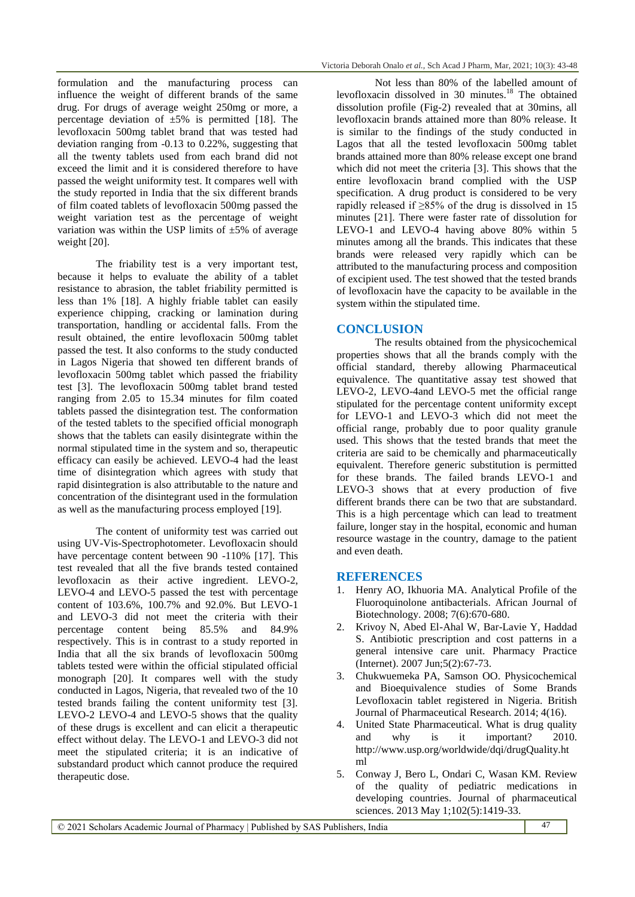formulation and the manufacturing process can influence the weight of different brands of the same drug. For drugs of average weight 250mg or more, a percentage deviation of  $\pm 5\%$  is permitted [18]. The levofloxacin 500mg tablet brand that was tested had deviation ranging from -0.13 to 0.22%, suggesting that all the twenty tablets used from each brand did not exceed the limit and it is considered therefore to have passed the weight uniformity test. It compares well with the study reported in India that the six different brands of film coated tablets of levofloxacin 500mg passed the weight variation test as the percentage of weight variation was within the USP limits of  $\pm 5\%$  of average weight [20].

The friability test is a very important test, because it helps to evaluate the ability of a tablet resistance to abrasion, the tablet friability permitted is less than 1% [18]. A highly friable tablet can easily experience chipping, cracking or lamination during transportation, handling or accidental falls. From the result obtained, the entire levofloxacin 500mg tablet passed the test. It also conforms to the study conducted in Lagos Nigeria that showed ten different brands of levofloxacin 500mg tablet which passed the friability test [3]. The levofloxacin 500mg tablet brand tested ranging from 2.05 to 15.34 minutes for film coated tablets passed the disintegration test. The conformation of the tested tablets to the specified official monograph shows that the tablets can easily disintegrate within the normal stipulated time in the system and so, therapeutic efficacy can easily be achieved. LEVO-4 had the least time of disintegration which agrees with study that rapid disintegration is also attributable to the nature and concentration of the disintegrant used in the formulation as well as the manufacturing process employed [19].

The content of uniformity test was carried out using UV-Vis-Spectrophotometer. Levofloxacin should have percentage content between 90 -110% [17]. This test revealed that all the five brands tested contained levofloxacin as their active ingredient. LEVO-2, LEVO-4 and LEVO-5 passed the test with percentage content of 103.6%, 100.7% and 92.0%. But LEVO-1 and LEVO-3 did not meet the criteria with their percentage content being 85.5% and 84.9% respectively. This is in contrast to a study reported in India that all the six brands of levofloxacin 500mg tablets tested were within the official stipulated official monograph [20]. It compares well with the study conducted in Lagos, Nigeria, that revealed two of the 10 tested brands failing the content uniformity test [3]. LEVO-2 LEVO-4 and LEVO-5 shows that the quality of these drugs is excellent and can elicit a therapeutic effect without delay. The LEVO-1 and LEVO-3 did not meet the stipulated criteria; it is an indicative of substandard product which cannot produce the required therapeutic dose.

Not less than 80% of the labelled amount of levofloxacin dissolved in  $30 \text{ minutes}$ .<sup>18</sup> The obtained dissolution profile (Fig-2) revealed that at 30mins, all levofloxacin brands attained more than 80% release. It is similar to the findings of the study conducted in Lagos that all the tested levofloxacin 500mg tablet brands attained more than 80% release except one brand which did not meet the criteria [3]. This shows that the entire levofloxacin brand complied with the USP specification. A drug product is considered to be very rapidly released if ≥85% of the drug is dissolved in 15 minutes [21]. There were faster rate of dissolution for LEVO-1 and LEVO-4 having above 80% within 5 minutes among all the brands. This indicates that these brands were released very rapidly which can be attributed to the manufacturing process and composition of excipient used. The test showed that the tested brands of levofloxacin have the capacity to be available in the system within the stipulated time.

#### **CONCLUSION**

The results obtained from the physicochemical properties shows that all the brands comply with the official standard, thereby allowing Pharmaceutical equivalence. The quantitative assay test showed that LEVO-2, LEVO-4and LEVO-5 met the official range stipulated for the percentage content uniformity except for LEVO-1 and LEVO-3 which did not meet the official range, probably due to poor quality granule used. This shows that the tested brands that meet the criteria are said to be chemically and pharmaceutically equivalent. Therefore generic substitution is permitted for these brands. The failed brands LEVO-1 and LEVO-3 shows that at every production of five different brands there can be two that are substandard. This is a high percentage which can lead to treatment failure, longer stay in the hospital, economic and human resource wastage in the country, damage to the patient and even death.

#### **REFERENCES**

- 1. Henry AO, Ikhuoria MA. Analytical Profile of the Fluoroquinolone antibacterials. African Journal of Biotechnology. 2008; 7(6):670-680.
- 2. Krivoy N, Abed El-Ahal W, Bar-Lavie Y, Haddad S. Antibiotic prescription and cost patterns in a general intensive care unit. Pharmacy Practice (Internet). 2007 Jun;5(2):67-73.
- 3. Chukwuemeka PA, Samson OO. Physicochemical and Bioequivalence studies of Some Brands Levofloxacin tablet registered in Nigeria. British Journal of Pharmaceutical Research. 2014; 4(16).
- 4. United State Pharmaceutical. What is drug quality and why is it important? 2010. http://www.usp.org/worldwide/dqi/drugQuality.ht ml
- 5. Conway J, Bero L, Ondari C, Wasan KM. Review of the quality of pediatric medications in developing countries. Journal of pharmaceutical sciences. 2013 May 1;102(5):1419-33.